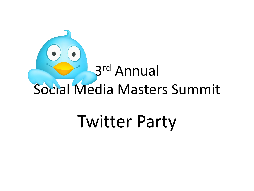

# Twitter Party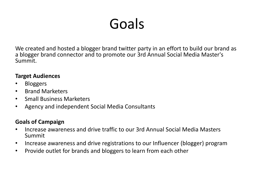## Goals

We created and hosted a blogger brand twitter party in an effort to build our brand as a blogger brand connector and to promote our 3rd Annual Social Media Master's Summit.

#### **Target Audiences**

- Bloggers
- Brand Marketers
- Small Business Marketers
- Agency and independent Social Media Consultants

### **Goals of Campaign**

- Increase awareness and drive traffic to our 3rd Annual Social Media Masters Summit
- Increase awareness and drive registrations to our Influencer (blogger) program
- Provide outlet for brands and bloggers to learn from each other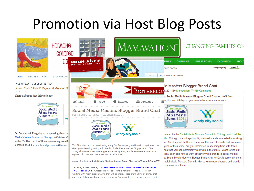### Promotion via Host Blog Posts



ocial Media Masters Summit. Get to know new bloggers and brands

the ones you know

Join us for the first Social Media Masters Blogger Brand Chat on 10/6 from 7-9pm CST

This party is sponsored by the Social Media Masters Summit in Chicago which will be on October 25-26th. Chicago is a hot spot for big national brands interested in working with mom bloggers. And they will be there. These are the kind of brands that are more likely to pay bloggers for their work. Are you interested in spending time with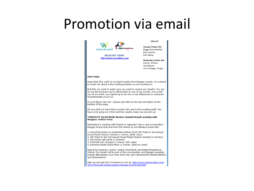### Promotion via email

|                                                                                                                                                                                                                                                                                                                                                                 | Join us!                                                                                                                                                                                                    |  |
|-----------------------------------------------------------------------------------------------------------------------------------------------------------------------------------------------------------------------------------------------------------------------------------------------------------------------------------------------------------------|-------------------------------------------------------------------------------------------------------------------------------------------------------------------------------------------------------------|--|
| ligital megaphone<br>windy city social<br><b>REGISTER TODAY!</b><br>http://smms.eventbee.com                                                                                                                                                                                                                                                                    | Tuesday, October 25th<br><b>Blogger Brand Breakfast</b><br><b>Bonus Sessions</b><br><b>Book Signing</b><br>Wednesday, October 26th<br>9:00 am - 6:00 pm<br><b>SAIC Ballroom</b><br>112 S. Michigan, Chicago |  |
| Dear Hope,                                                                                                                                                                                                                                                                                                                                                      |                                                                                                                                                                                                             |  |
| Hope that all is well! As we start to plan more blogger events, we wanted<br>to reach out about a few exciting projects we are working on.                                                                                                                                                                                                                      |                                                                                                                                                                                                             |  |
| But first, we want to make sure you want to receive our emails!! You are<br>on our list because you've either been to one of our events, we've met<br>you at an event, you signed-up to be one of our influencers or someone<br>recommended you to us.                                                                                                          |                                                                                                                                                                                                             |  |
| If you'd like to opt-out - please just click on the opt-out button at the<br>bottom of the page.                                                                                                                                                                                                                                                                |                                                                                                                                                                                                             |  |
| Ok now that we have that covered; let's get to the exciting stuff!! We<br>have a lot going on in the next few weeks, hope you can join us!                                                                                                                                                                                                                      |                                                                                                                                                                                                             |  |
| TONIGHT!!! Social Media Masters Summit Brands working with<br><b>Bloggers Twitter Party</b>                                                                                                                                                                                                                                                                     |                                                                                                                                                                                                             |  |
| Interested in working with brands or agencies? Join a real conversation<br>blogger brand chat and have the chance to win fabulous prizes like:                                                                                                                                                                                                                  |                                                                                                                                                                                                             |  |
| 1. Round trip ticket on SouthWest Airlines PLUS VIP Ticket to 3rd Annual<br>Social Media Masters Summit (1 winner, \$800 value)<br>2. VIP Ticket to the 3rd Annual Social Media Masters Summit (2 winners)<br>3. \$50 Jockey gift cards (2 winners)<br>3. FuelTank Uno Charger (1 winner, \$49 value)<br>4. Kenmore Model Stand Mixer (1 winner, deets to come) |                                                                                                                                                                                                             |  |
| Reps from Kenmore, Jockey, Weber Shandwick and Digital Megaphone<br>(Windy City Social) will be part of the conversation and blogger panelists<br>include @bookieboo (our host and b-day girl!) @mommyPR @kimmoldofsky<br>and @momadvice                                                                                                                        |                                                                                                                                                                                                             |  |
| Sign-up and get lots of chances to win at: http://www.mamavation.com/<br>2011/09/social-media-masters-blogger-brand-chat.html                                                                                                                                                                                                                                   |                                                                                                                                                                                                             |  |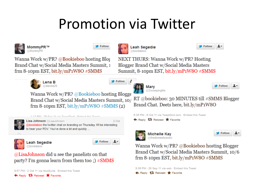### **Promotion via Twitter**

£

Follow



Follow

Follow



@bookieboo NEXT THURS: Wanna Work w/PR? Hosting

> Mary @SweepingMe

**Leah Segedie** 

Blogger Brand Chat w/Social Media Masters Summit, 8-10pm EST, bit.ly/mP1W8O #SMMS



Wanna Work w/PR? @Bookieboo hosting Blogge Brand Chat w/Social Media Masters Summit, 10/ frm 8-10pm EST, bit.ly/mP1W8O  $\#SMMS(2)$ 



 $2$  Oct **Lisa Johnson** @LisaJohnson @bookieboo the twitter chat on branding on Thursday. It'll be interesting to hear your POV. You've done a lot and quickly ...



**Leah Segedie** @bookieboo

@LisaJohnson did u see the panelists on that party? I'm gonna learn from them too ;) #SMMS

1-12 PM . 29 Sep 11 via TweetBeck - Embed this Twee

9:57 PM - 2 Oct 11 via HootSuite · Embed this Tweet

← Reply 17 Retweet ★ Favorite

```
6:35 PM - 6 Oct 11 via TweetGrid.com · Embed this Tweet
```
Brand Chat. Deets here, bit.ly/mP1W8O

← Reply 17 Retweet ★ Favorite



**Michelle Kay** @thedomesticexec

Wanna Work w/PR? @Bookieboo hosting Blogger Brand Chat w/Social Media Masters Summit, 10/6 frm 8-10pm EST, bit.ly/mP1W8O  $\#SMMS$ 

RT @bookieboo: 30 MINUTES till #SMMS Blogger

**Follow** 

Follow

Follow

9:39 PM - 28 Sep 11 via web · Embed this Tweet

← Reply 17 Retweet ★ Favorite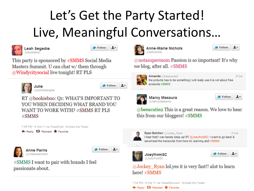## Let's Get the Party Started! Live, Meaningful Conversations...





Follow

 $1 -$ 

This party is sponsored by #SMMS Social Media Masters Summit. U can chat w/ them through @Windycitysocial live tonight! RT PLS



dutchbeingme

1-Follow

RT @bookieboo: Q1: WHAT'S IMPORTANT TO YOU WHEN DECIDING WHAT BRAND YOU WANT TO WORK WITH? #SMMS RT PLS  $\#SMMS$ 







#SMMS I want to pair with brands I feel passionate about.



**Anne-Marie Nichols** amnichols

Follow ᅶ

@notasupermom Passion is so important! It's why we blog, after all. #SMMS



Amanda @beeacutie2 6 Oct the prducts has to be something I will really use it is not about free products #SMMS



**Marcy Massura** @marcymassura

1. Follow

1.

Follow

@beeacutie2 This is a great reason. We love to hear this from our bloggers! #SMMS



**Ryan Belcher** @Jockey Ryan 6 Oct Thear that I can barely keep up! RT @JoeyfromSC: I want to go back & save/read the transcript from here lol. learning alot #SMMS



**JoeyfromSC** @JoeyfromSC

@Jockey Ryan lol.yes it is very fast!! alot to learn here! #SMMS

7:34 PM - 6 Oct 11 via TweetGrid.com · Embed this Tweet

← Reply <sup>17</sup> Retweet ★ Favorite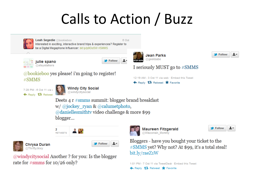## **Calls to Action / Buzz**



Leah Segedie @bookieboo 6 Oct Interested in exciting, interactive brand trips & experiences? Register to be a Digital Megaphone Influencer: bit.ly/p9Oo5W #SMMS





#### @bookieboo yes please! i'm going to register!  $\#SMMS$





Deets 4 r #smms summit: blogger brand breakfast w/@jockey ryan & @calumetphoto,  $\omega$  danielles mith tv video challenge & more \$99 blogger...

Follow

ı٠





@windycitysocial Another? for you: Is the blogger rate for  $\#smms$  for 10/26 only?



**Maureen Fitzgerald** @Wisconsin\_Mommy

**Jean Parks** @geekbabe

← Reply <sup>17</sup> Retweet ★ Favorite

I seriously MUST go to #SMMS

12:19 AM - 3 Oct 11 via web · Embed this Tweet

| Follow |  |
|--------|--|
|--------|--|

Follow

Bloggers - have you bought your ticket to the #SMMS yet? Why not? At \$99, it's a total steal! bit.ly/raeZ1W

1:01 PM - 7 Oct 11 via TweetDeck · Embed this Tweet Reply 17 Retweet Travorite